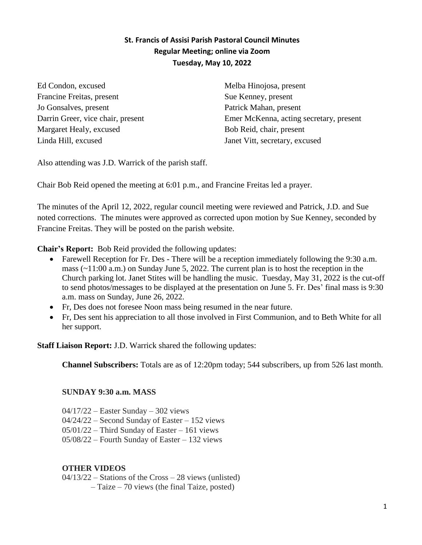## **St. Francis of Assisi Parish Pastoral Council Minutes Regular Meeting; online via Zoom Tuesday, May 10, 2022**

Ed Condon, excused Francine Freitas, present Jo Gonsalves, present Darrin Greer, vice chair, present Margaret Healy, excused Linda Hill, excused

Melba Hinojosa, present Sue Kenney, present Patrick Mahan, present Emer McKenna, acting secretary, present Bob Reid, chair, present Janet Vitt, secretary, excused

Also attending was J.D. Warrick of the parish staff.

Chair Bob Reid opened the meeting at 6:01 p.m., and Francine Freitas led a prayer.

The minutes of the April 12, 2022, regular council meeting were reviewed and Patrick, J.D. and Sue noted corrections. The minutes were approved as corrected upon motion by Sue Kenney, seconded by Francine Freitas. They will be posted on the parish website.

**Chair's Report:** Bob Reid provided the following updates:

- Farewell Reception for Fr. Des There will be a reception immediately following the 9:30 a.m. mass (~11:00 a.m.) on Sunday June 5, 2022. The current plan is to host the reception in the Church parking lot. Janet Stites will be handling the music. Tuesday, May 31, 2022 is the cut-off to send photos/messages to be displayed at the presentation on June 5. Fr. Des' final mass is 9:30 a.m. mass on Sunday, June 26, 2022.
- Fr, Des does not foresee Noon mass being resumed in the near future.
- Fr, Des sent his appreciation to all those involved in First Communion, and to Beth White for all her support.

**Staff Liaison Report:** J.D. Warrick shared the following updates:

**Channel Subscribers:** Totals are as of 12:20pm today; 544 subscribers, up from 526 last month.

## **SUNDAY 9:30 a.m. MASS**

- 04/17/22 Easter Sunday 302 views
- 04/24/22 Second Sunday of Easter 152 views
- 05/01/22 Third Sunday of Easter 161 views
- 05/08/22 Fourth Sunday of Easter 132 views

## **OTHER VIDEOS**

04/13/22 – Stations of the Cross – 28 views (unlisted)

– Taize – 70 views (the final Taize, posted)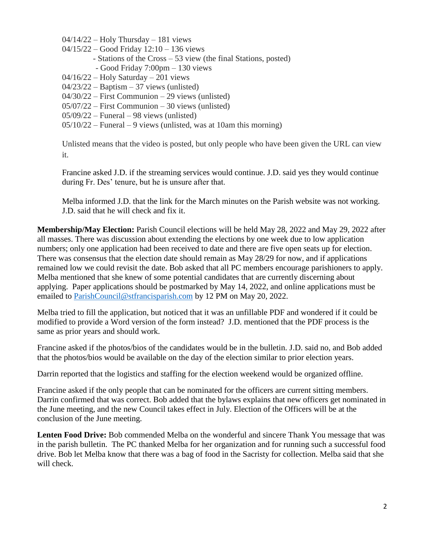$04/14/22$  – Holy Thursday – 181 views

- 04/15/22 Good Friday 12:10 136 views
	- Stations of the Cross 53 view (the final Stations, posted)
	- Good Friday 7:00pm 130 views
- $04/16/22$  Holy Saturday 201 views
- $04/23/22 -$ Baptism 37 views (unlisted)
- 04/30/22 First Communion 29 views (unlisted)
- 05/07/22 First Communion 30 views (unlisted)
- 05/09/22 Funeral 98 views (unlisted)

05/10/22 – Funeral – 9 views (unlisted, was at 10am this morning)

Unlisted means that the video is posted, but only people who have been given the URL can view it.

Francine asked J.D. if the streaming services would continue. J.D. said yes they would continue during Fr. Des' tenure, but he is unsure after that.

Melba informed J.D. that the link for the March minutes on the Parish website was not working. J.D. said that he will check and fix it.

**Membership/May Election:** Parish Council elections will be held May 28, 2022 and May 29, 2022 after all masses. There was discussion about extending the elections by one week due to low application numbers; only one application had been received to date and there are five open seats up for election. There was consensus that the election date should remain as May 28/29 for now, and if applications remained low we could revisit the date. Bob asked that all PC members encourage parishioners to apply. Melba mentioned that she knew of some potential candidates that are currently discerning about applying. Paper applications should be postmarked by May 14, 2022, and online applications must be emailed to [ParishCouncil@stfrancisparish.com](mailto:ParishCouncil@stfrancisparish.com) by 12 PM on May 20, 2022.

Melba tried to fill the application, but noticed that it was an unfillable PDF and wondered if it could be modified to provide a Word version of the form instead? J.D. mentioned that the PDF process is the same as prior years and should work.

Francine asked if the photos/bios of the candidates would be in the bulletin. J.D. said no, and Bob added that the photos/bios would be available on the day of the election similar to prior election years.

Darrin reported that the logistics and staffing for the election weekend would be organized offline.

Francine asked if the only people that can be nominated for the officers are current sitting members. Darrin confirmed that was correct. Bob added that the bylaws explains that new officers get nominated in the June meeting, and the new Council takes effect in July. Election of the Officers will be at the conclusion of the June meeting.

**Lenten Food Drive:** Bob commended Melba on the wonderful and sincere Thank You message that was in the parish bulletin. The PC thanked Melba for her organization and for running such a successful food drive. Bob let Melba know that there was a bag of food in the Sacristy for collection. Melba said that she will check.